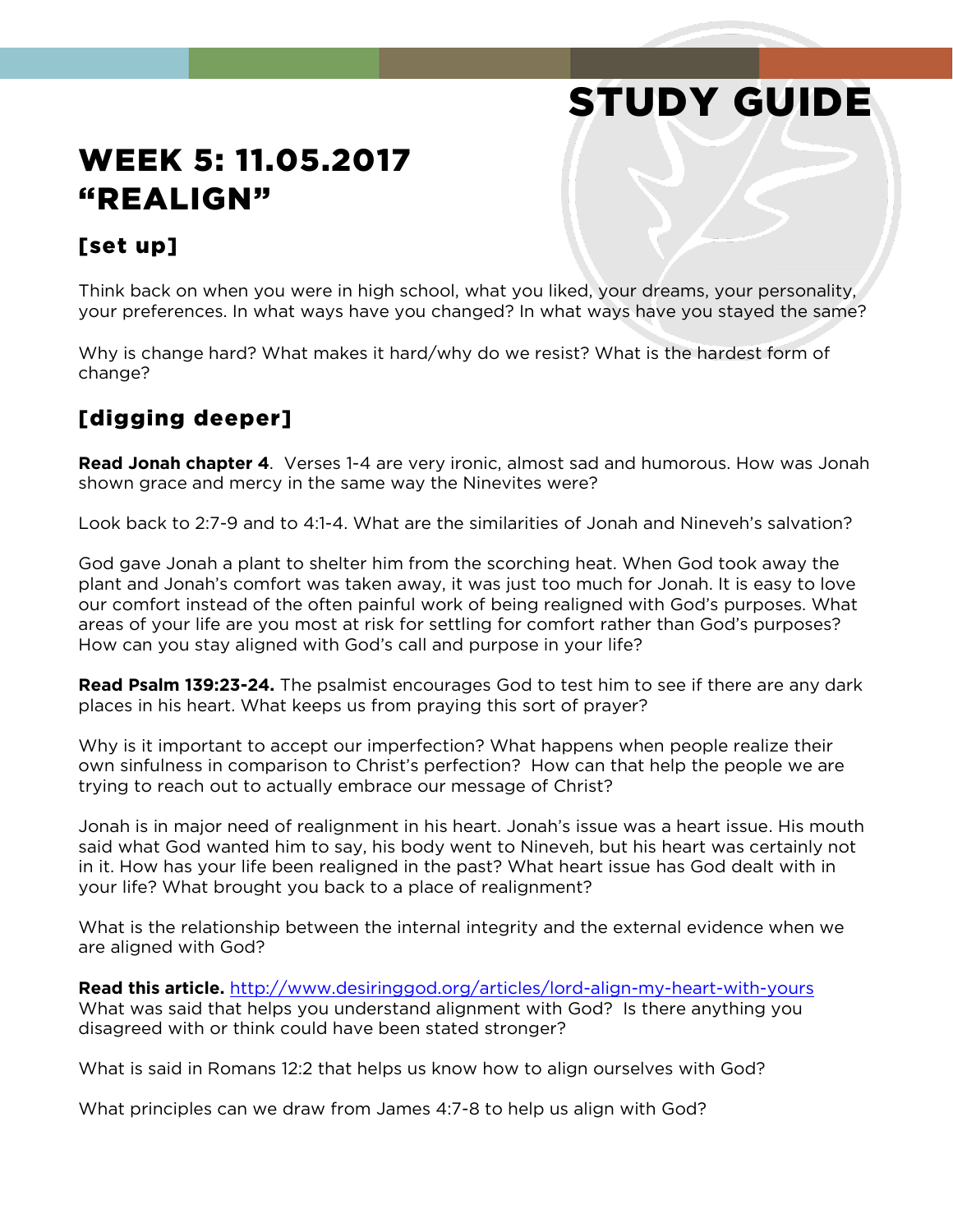# STUDY GUIDE

# WEEK 5: 11.05.2017 "REALIGN"

#### [set up]

Think back on when you were in high school, what you liked, your dreams, your personality, your preferences. In what ways have you changed? In what ways have you stayed the same?

Why is change hard? What makes it hard/why do we resist? What is the hardest form of change?

### [digging deeper]

**Read Jonah chapter 4**. Verses 1-4 are very ironic, almost sad and humorous. How was Jonah shown grace and mercy in the same way the Ninevites were?

Look back to 2:7-9 and to 4:1-4. What are the similarities of Jonah and Nineveh's salvation?

God gave Jonah a plant to shelter him from the scorching heat. When God took away the plant and Jonah's comfort was taken away, it was just too much for Jonah. It is easy to love our comfort instead of the often painful work of being realigned with God's purposes. What areas of your life are you most at risk for settling for comfort rather than God's purposes? How can you stay aligned with God's call and purpose in your life?

**Read Psalm 139:23-24.** The psalmist encourages God to test him to see if there are any dark places in his heart. What keeps us from praying this sort of prayer?

Why is it important to accept our imperfection? What happens when people realize their own sinfulness in comparison to Christ's perfection? How can that help the people we are trying to reach out to actually embrace our message of Christ?

Jonah is in major need of realignment in his heart. Jonah's issue was a heart issue. His mouth said what God wanted him to say, his body went to Nineveh, but his heart was certainly not in it. How has your life been realigned in the past? What heart issue has God dealt with in your life? What brought you back to a place of realignment?

What is the relationship between the internal integrity and the external evidence when we are aligned with God?

**Read this article.** <http://www.desiringgod.org/articles/lord-align-my-heart-with-yours> What was said that helps you understand alignment with God? Is there anything you disagreed with or think could have been stated stronger?

What is said in Romans 12:2 that helps us know how to align ourselves with God?

What principles can we draw from James 4:7-8 to help us align with God?